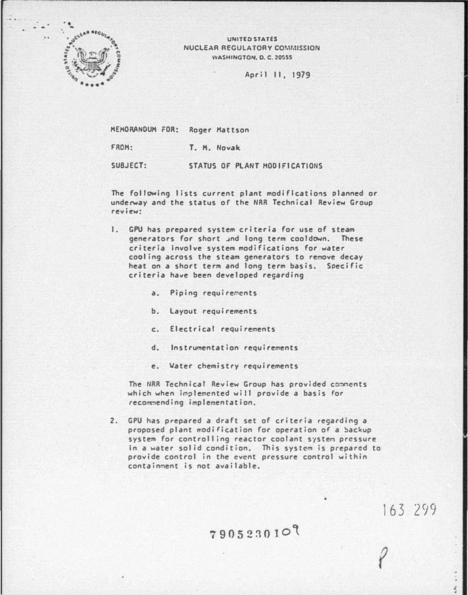

UNITED STATES NUCLEAR REGULATORY COMMISSION WASHINGTON, 0. C. 2055S

April 11, 1979

HEHORANDUH FOR: Roger Mattson

FROM: T. M. Novak

SUBJECT: STATUS OF PLANT HOD IFICATIONS

The following lists current plant modifications planned or underway and the status of the NRR Technical Review Group review:

- 1. GPU has prepared system criteria for use of steam generators for short and long term cooldown. These criteria Involve system modifications for water cooling across the steam generators to renove decay heat on a short term and long term basis. Soeeifie criteria have been developed regarding
	- a. Piping requirements
	- b. Layout requirements
	- e. Electrical requirements
	- d. Instrumentation requirements
	- e. �ater chemistry requirements

The NRR Technical Review Group has provided comments which when implemented will provide a basis for recommending implementation,

2. GPU has prepared a draft set of criteria regarding a proposed plant modification for operation of a backup system for controlling reactor coolant systen pressure In a water solid condition. This system is prepared to provide control in the event pressure control within containment is not available.

790523010

163 299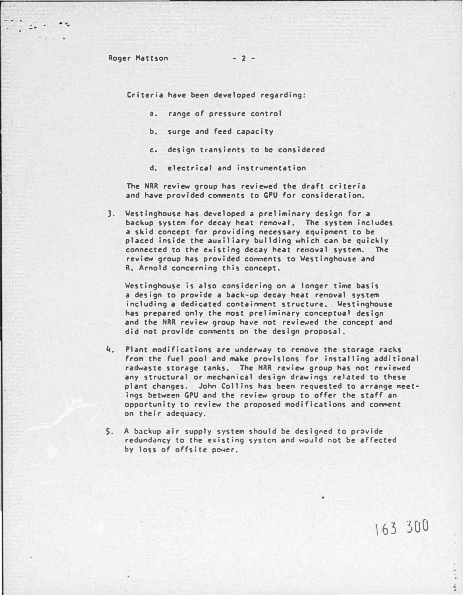- -

Criteria have been developed regarding:

- a. range of pressure control
- b. surge and feed capacity
- c. design transients to be considered
- d. electrical and instrumentation

The NRR review group has reviewed the draft criteria and have provided comments to GPU for consideration.

3. �estinghouse has developed a preliminary design for a backup system for decay heat removal. The system includes a skid concept for providing necessary equipment to be placed inside the auxiliary building which can be quickly connected to the existing decay heat removal system. The review group has provided comments to Westinghouse and R. Arnold concerning this concept.

�estinghouse is also considering on a longer time basis a design to provide a back-up decay heat removal system including a dedicated containment structure. �estinghouse has prepared only the most preliminary conceptual design and the NRR review group have not reviewed the concept and did not provide comments on the design proposal.

- 4. Plant modifications are underway to remove the storage racks from the fuel pool and make provisions for installing additional radwaste storage tanks. The NRR review group has not reviewed any structural or mechanical design drawings related to these plant changes. John Collins has been requested to arrange meetings between GPU and the review group to offer the staff an opportunity to review the proposed modifications and comment on their adequacy.
- S. A backup air supply system should be designed to provide redundancy to the existing system and would not be affected by loss of offsite power.

,63 300

 $\frac{1}{2}$